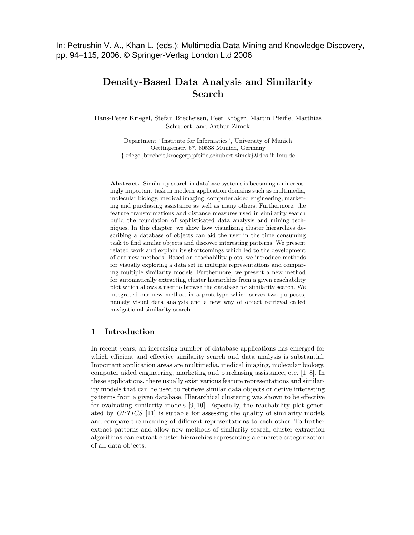## In: Petrushin V. A., Khan L. (eds.): Multimedia Data Mining and Knowledge Discovery, pp. 94–115, 2006. © Springer-Verlag London Ltd 2006

# Density-Based Data Analysis and Similarity Search

Hans-Peter Kriegel, Stefan Brecheisen, Peer Kröger, Martin Pfeifle, Matthias Schubert, and Arthur Zimek

> Department "Institute for Informatics", University of Munich Oettingenstr. 67, 80538 Munich, Germany {kriegel,brecheis,kroegerp,pfeifle,schubert,zimek}@dbs.ifi.lmu.de

Abstract. Similarity search in database systems is becoming an increasingly important task in modern application domains such as multimedia, molecular biology, medical imaging, computer aided engineering, marketing and purchasing assistance as well as many others. Furthermore, the feature transformations and distance measures used in similarity search build the foundation of sophisticated data analysis and mining techniques. In this chapter, we show how visualizing cluster hierarchies describing a database of objects can aid the user in the time consuming task to find similar objects and discover interesting patterns. We present related work and explain its shortcomings which led to the development of our new methods. Based on reachability plots, we introduce methods for visually exploring a data set in multiple representations and comparing multiple similarity models. Furthermore, we present a new method for automatically extracting cluster hierarchies from a given reachability plot which allows a user to browse the database for similarity search. We integrated our new method in a prototype which serves two purposes, namely visual data analysis and a new way of object retrieval called navigational similarity search.

## 1 Introduction

In recent years, an increasing number of database applications has emerged for which efficient and effective similarity search and data analysis is substantial. Important application areas are multimedia, medical imaging, molecular biology, computer aided engineering, marketing and purchasing assistance, etc. [1–8]. In these applications, there usually exist various feature representations and similarity models that can be used to retrieve similar data objects or derive interesting patterns from a given database. Hierarchical clustering was shown to be effective for evaluating similarity models [9, 10]. Especially, the reachability plot generated by OPTICS [11] is suitable for assessing the quality of similarity models and compare the meaning of different representations to each other. To further extract patterns and allow new methods of similarity search, cluster extraction algorithms can extract cluster hierarchies representing a concrete categorization of all data objects.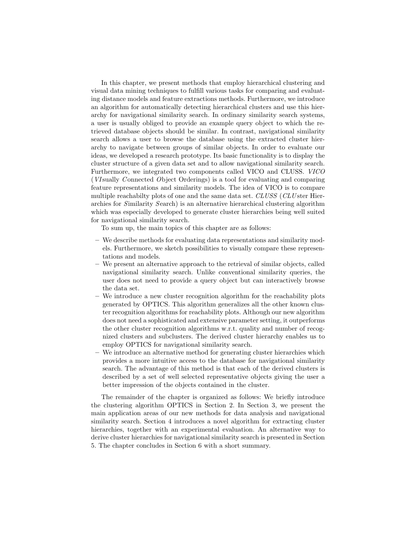In this chapter, we present methods that employ hierarchical clustering and visual data mining techniques to fulfill various tasks for comparing and evaluating distance models and feature extractions methods. Furthermore, we introduce an algorithm for automatically detecting hierarchical clusters and use this hierarchy for navigational similarity search. In ordinary similarity search systems, a user is usually obliged to provide an example query object to which the retrieved database objects should be similar. In contrast, navigational similarity search allows a user to browse the database using the extracted cluster hierarchy to navigate between groups of similar objects. In order to evaluate our ideas, we developed a research prototype. Its basic functionality is to display the cluster structure of a given data set and to allow navigational similarity search. Furthermore, we integrated two components called VICO and CLUSS. VICO (*VIsually Connected Object Orderings*) is a tool for evaluating and comparing feature representations and similarity models. The idea of VICO is to compare multiple reachabilty plots of one and the same data set. CLUSS (CLU ster Hierarchies for Similarity Search) is an alternative hierarchical clustering algorithm which was especially developed to generate cluster hierarchies being well suited for navigational similarity search.

To sum up, the main topics of this chapter are as follows:

- We describe methods for evaluating data representations and similarity models. Furthermore, we sketch possibilities to visually compare these representations and models.
- We present an alternative approach to the retrieval of similar objects, called navigational similarity search. Unlike conventional similarity queries, the user does not need to provide a query object but can interactively browse the data set.
- We introduce a new cluster recognition algorithm for the reachability plots generated by OPTICS. This algorithm generalizes all the other known cluster recognition algorithms for reachability plots. Although our new algorithm does not need a sophisticated and extensive parameter setting, it outperforms the other cluster recognition algorithms w.r.t. quality and number of recognized clusters and subclusters. The derived cluster hierarchy enables us to employ OPTICS for navigational similarity search.
- We introduce an alternative method for generating cluster hierarchies which provides a more intuitive access to the database for navigational similarity search. The advantage of this method is that each of the derived clusters is described by a set of well selected representative objects giving the user a better impression of the objects contained in the cluster.

The remainder of the chapter is organized as follows: We briefly introduce the clustering algorithm OPTICS in Section 2. In Section 3, we present the main application areas of our new methods for data analysis and navigational similarity search. Section 4 introduces a novel algorithm for extracting cluster hierarchies, together with an experimental evaluation. An alternative way to derive cluster hierarchies for navigational similarity search is presented in Section 5. The chapter concludes in Section 6 with a short summary.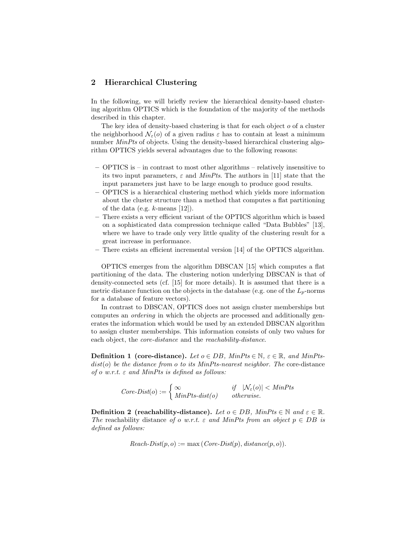## 2 Hierarchical Clustering

In the following, we will briefly review the hierarchical density-based clustering algorithm OPTICS which is the foundation of the majority of the methods described in this chapter.

The key idea of density-based clustering is that for each object  $o$  of a cluster the neighborhood  $\mathcal{N}_{\varepsilon}(o)$  of a given radius  $\varepsilon$  has to contain at least a minimum number *MinPts* of objects. Using the density-based hierarchical clustering algorithm OPTICS yields several advantages due to the following reasons:

- OPTICS is in contrast to most other algorithms relatively insensitive to its two input parameters,  $\varepsilon$  and *MinPts*. The authors in [11] state that the input parameters just have to be large enough to produce good results.
- OPTICS is a hierarchical clustering method which yields more information about the cluster structure than a method that computes a flat partitioning of the data (e.g.  $k$ -means [12]).
- There exists a very efficient variant of the OPTICS algorithm which is based on a sophisticated data compression technique called "Data Bubbles" [13], where we have to trade only very little quality of the clustering result for a great increase in performance.
- There exists an efficient incremental version [14] of the OPTICS algorithm.

OPTICS emerges from the algorithm DBSCAN [15] which computes a flat partitioning of the data. The clustering notion underlying DBSCAN is that of density-connected sets (cf. [15] for more details). It is assumed that there is a metric distance function on the objects in the database (e.g. one of the  $L_n$ -norms for a database of feature vectors).

In contrast to DBSCAN, OPTICS does not assign cluster memberships but computes an ordering in which the objects are processed and additionally generates the information which would be used by an extended DBSCAN algorithm to assign cluster memberships. This information consists of only two values for each object, the *core-distance* and the *reachability-distance*.

**Definition 1 (core-distance).** Let  $o \in DB$ , MinPts  $\in \mathbb{N}$ ,  $\varepsilon \in \mathbb{R}$ , and MinPts $dist(o)$  be the distance from o to its MinPts-nearest neighbor. The core-distance of o w.r.t.  $\varepsilon$  and MinPts is defined as follows:

$$
Core\text{-}Dist(o) := \begin{cases} \infty & \text{if} \quad |\mathcal{N}_{\varepsilon}(o)| < \text{MinPts} \\ \text{MinPts-dist}(o) & \text{otherwise.} \end{cases}
$$

**Definition 2** (reachability-distance). Let  $o \in DB$ , MinPts  $\in \mathbb{N}$  and  $\varepsilon \in \mathbb{R}$ . The reachability distance of o w.r.t.  $\varepsilon$  and MinPts from an object  $p \in DB$  is defined as follows:

$$
Reach-Dist(p, o) := \max (Core-Dist(p), distance(p, o)).
$$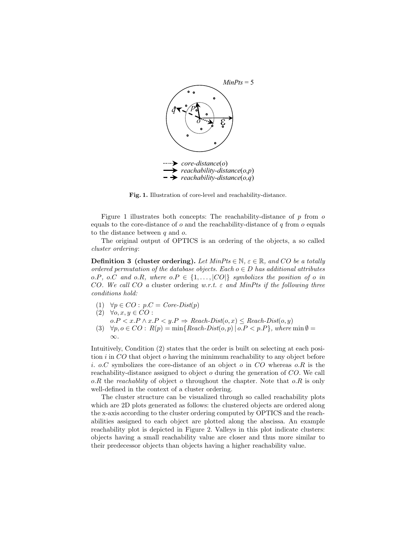

Fig. 1. Illustration of core-level and reachability-distance.

Figure 1 illustrates both concepts: The reachability-distance of  $p$  from  $o$ equals to the core-distance of  $\rho$  and the reachability-distance of  $q$  from  $\rho$  equals to the distance between  $q$  and  $q$ .

The original output of OPTICS is an ordering of the objects, a so called cluster ordering:

**Definition 3 (cluster ordering).** Let MinPts  $\in \mathbb{N}$ ,  $\varepsilon \in \mathbb{R}$ , and CO be a totally ordered permutation of the database objects. Each  $o \in D$  has additional attributes o.P, o.C and o.R, where  $o.P \in \{1, \ldots, |CO|\}$  symbolizes the position of o in CO. We call CO a cluster ordering w.r.t.  $\varepsilon$  and MinPts if the following three conditions hold:

- (1)  $\forall p \in CO : p.C = Core-Dist(p)$
- (2)  $\forall o, x, y \in CO:$  $o.P < x.P \land x.P < y.P \Rightarrow Reach-Dist(o, x) \leq Reach-Dist(o, y)$
- (3)  $\forall p, o \in CO : R(p) = \min\{Reach-Dist(o, p) | o.P < p.P\}$ , where  $\min \emptyset =$ ∞.

Intuitively, Condition (2) states that the order is built on selecting at each position  $i$  in  $CO$  that object  $o$  having the minimum reachability to any object before i.  $o.C$  symbolizes the core-distance of an object  $o$  in  $CO$  whereas  $o.R$  is the reachability-distance assigned to object o during the generation of CO. We call  $o.R$  the reachablity of object o throughout the chapter. Note that  $o.R$  is only well-defined in the context of a cluster ordering.

The cluster structure can be visualized through so called reachability plots which are 2D plots generated as follows: the clustered objects are ordered along the x-axis according to the cluster ordering computed by OPTICS and the reachabilities assigned to each object are plotted along the abscissa. An example reachability plot is depicted in Figure 2. Valleys in this plot indicate clusters: objects having a small reachability value are closer and thus more similar to their predecessor objects than objects having a higher reachability value.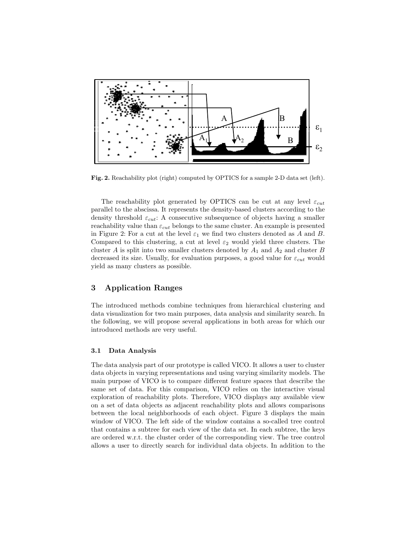

Fig. 2. Reachability plot (right) computed by OPTICS for a sample 2-D data set (left).

The reachability plot generated by OPTICS can be cut at any level  $\varepsilon_{cut}$ parallel to the abscissa. It represents the density-based clusters according to the density threshold  $\varepsilon_{cut}$ : A consecutive subsequence of objects having a smaller reachability value than  $\varepsilon_{cut}$  belongs to the same cluster. An example is presented in Figure 2: For a cut at the level  $\varepsilon_1$  we find two clusters denoted as A and B. Compared to this clustering, a cut at level  $\varepsilon_2$  would yield three clusters. The cluster A is split into two smaller clusters denoted by  $A_1$  and  $A_2$  and cluster B decreased its size. Usually, for evaluation purposes, a good value for  $\varepsilon_{cut}$  would yield as many clusters as possible.

## 3 Application Ranges

The introduced methods combine techniques from hierarchical clustering and data visualization for two main purposes, data analysis and similarity search. In the following, we will propose several applications in both areas for which our introduced methods are very useful.

#### 3.1 Data Analysis

The data analysis part of our prototype is called VICO. It allows a user to cluster data objects in varying representations and using varying similarity models. The main purpose of VICO is to compare different feature spaces that describe the same set of data. For this comparison, VICO relies on the interactive visual exploration of reachability plots. Therefore, VICO displays any available view on a set of data objects as adjacent reachability plots and allows comparisons between the local neighborhoods of each object. Figure 3 displays the main window of VICO. The left side of the window contains a so-called tree control that contains a subtree for each view of the data set. In each subtree, the keys are ordered w.r.t. the cluster order of the corresponding view. The tree control allows a user to directly search for individual data objects. In addition to the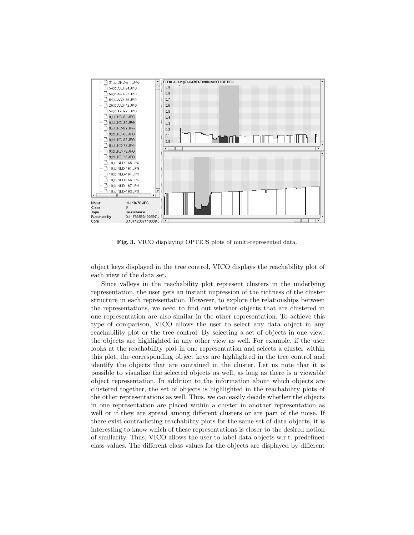

Fig. 3. VICO displaying OPTICS plots of multi-represented data.

object keys displayed in the tree control, VICO displays the reachability plot of each view of the data set.

Since valleys in the reachability plot represent clusters in the underlying representation, the user gets an instant impression of the richness of the cluster structure in each representation. However, to explore the relationships between the representations, we need to find out whether objects that are clustered in one representation are also similar in the other representation. To achieve this type of comparison, VICO allows the user to select any data object in any reachability plot or the tree control. By selecting a set of objects in one view, the objects are highlighted in any other view as well. For example, if the user looks at the reachability plot in one representation and selects a cluster within this plot, the corresponding object keys are highlighted in the tree control and identify the objects that are contained in the cluster. Let us note that it is possible to visualize the selected objects as well, as long as there is a viewable object representation. In addition to the information about which objects are clustered together, the set of objects is highlighted in the reachability plots of the other representations as well. Thus, we can easily decide whether the objects in one representation are placed within a cluster in another representation as well or if they are spread among different clusters or are part of the noise. If there exist contradicting reachability plots for the same set of data objects, it is interesting to know which of these representations is closer to the desired notion of similarity. Thus, VICO allows the user to label data objects w.r.t. predefined class values. The different class values for the objects are displayed by different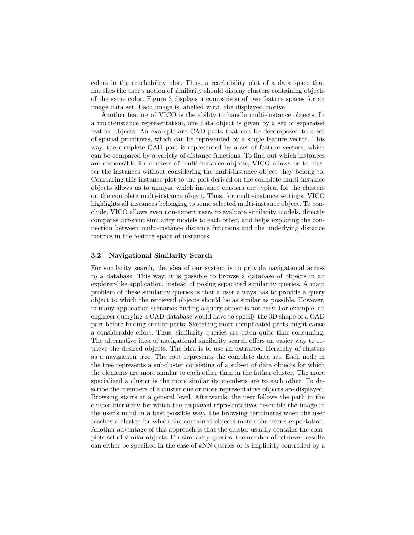colors in the reachability plot. Thus, a reachability plot of a data space that matches the user's notion of similarity should display clusters containing objects of the same color. Figure 3 displays a comparison of two feature spaces for an image data set. Each image is labelled w.r.t. the displayed motive.

Another feature of VICO is the ability to handle multi-instance objects. In a multi-instance representation, one data object is given by a set of separated feature objects. An example are CAD parts that can be decomposed to a set of spatial primitives, which can be represented by a single feature vector. This way, the complete CAD part is represented by a set of feature vectors, which can be compared by a variety of distance functions. To find out which instances are responsible for clusters of multi-instance objects, VICO allows us to cluster the instances without considering the multi-instance object they belong to. Comparing this instance plot to the plot derived on the complete multi-instance objects allows us to analyze which instance clusters are typical for the clusters on the complete multi-instance object. Thus, for multi-instance settings, VICO highlights all instances belonging to some selected multi-instance object. To conclude, VICO allows even non-expert users to evaluate similarity models, directly compares different similarity models to each other, and helps exploring the connection between multi-instance distance functions and the underlying distance metrics in the feature space of instances.

## 3.2 Navigational Similarity Search

For similarity search, the idea of our system is to provide navigational access to a database. This way, it is possible to browse a database of objects in an explorer-like application, instead of posing separated similarity queries. A main problem of these similarity queries is that a user always has to provide a query object to which the retrieved objects should be as similar as possible. However, in many application scenarios finding a query object is not easy. For example, an engineer querying a CAD database would have to specify the 3D shape of a CAD part before finding similar parts. Sketching more complicated parts might cause a considerable effort. Thus, similarity queries are often quite time-consuming. The alternative idea of navigational similarity search offers an easier way to retrieve the desired objects. The idea is to use an extracted hierarchy of clusters as a navigation tree. The root represents the complete data set. Each node in the tree represents a subcluster consisting of a subset of data objects for which the elements are more similar to each other than in the father cluster. The more specialized a cluster is the more similar its members are to each other. To describe the members of a cluster one or more representative objects are displayed. Browsing starts at a general level. Afterwards, the user follows the path in the cluster hierarchy for which the displayed representatives resemble the image in the user's mind in a best possible way. The browsing terminates when the user reaches a cluster for which the contained objects match the user's expectation. Another advantage of this approach is that the cluster usually contains the complete set of similar objects. For similarity queries, the number of retrieved results can either be specified in the case of kNN queries or is implicitly controlled by a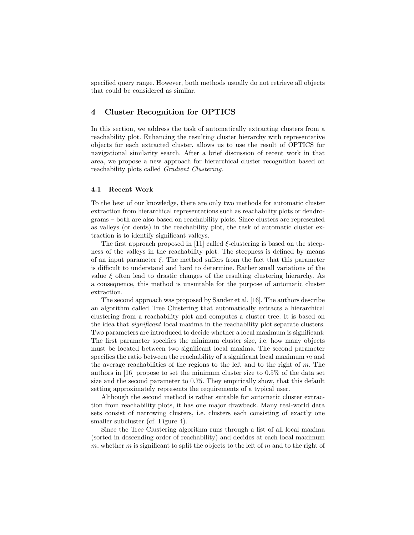specified query range. However, both methods usually do not retrieve all objects that could be considered as similar.

## 4 Cluster Recognition for OPTICS

In this section, we address the task of automatically extracting clusters from a reachability plot. Enhancing the resulting cluster hierarchy with representative objects for each extracted cluster, allows us to use the result of OPTICS for navigational similarity search. After a brief discussion of recent work in that area, we propose a new approach for hierarchical cluster recognition based on reachability plots called Gradient Clustering.

#### 4.1 Recent Work

To the best of our knowledge, there are only two methods for automatic cluster extraction from hierarchical representations such as reachability plots or dendrograms – both are also based on reachability plots. Since clusters are represented as valleys (or dents) in the reachability plot, the task of automatic cluster extraction is to identify significant valleys.

The first approach proposed in [11] called ξ-clustering is based on the steepness of the valleys in the reachability plot. The steepness is defined by means of an input parameter  $\xi$ . The method suffers from the fact that this parameter is difficult to understand and hard to determine. Rather small variations of the value  $\xi$  often lead to drastic changes of the resulting clustering hierarchy. As a consequence, this method is unsuitable for the purpose of automatic cluster extraction.

The second approach was proposed by Sander et al. [16]. The authors describe an algorithm called Tree Clustering that automatically extracts a hierarchical clustering from a reachability plot and computes a cluster tree. It is based on the idea that significant local maxima in the reachability plot separate clusters. Two parameters are introduced to decide whether a local maximum is significant: The first parameter specifies the minimum cluster size, i.e. how many objects must be located between two significant local maxima. The second parameter specifies the ratio between the reachability of a significant local maximum  $m$  and the average reachabilities of the regions to the left and to the right of m. The authors in [16] propose to set the minimum cluster size to 0.5% of the data set size and the second parameter to 0.75. They empirically show, that this default setting approximately represents the requirements of a typical user.

Although the second method is rather suitable for automatic cluster extraction from reachability plots, it has one major drawback. Many real-world data sets consist of narrowing clusters, i.e. clusters each consisting of exactly one smaller subcluster (cf. Figure 4).

Since the Tree Clustering algorithm runs through a list of all local maxima (sorted in descending order of reachability) and decides at each local maximum m, whether m is significant to split the objects to the left of m and to the right of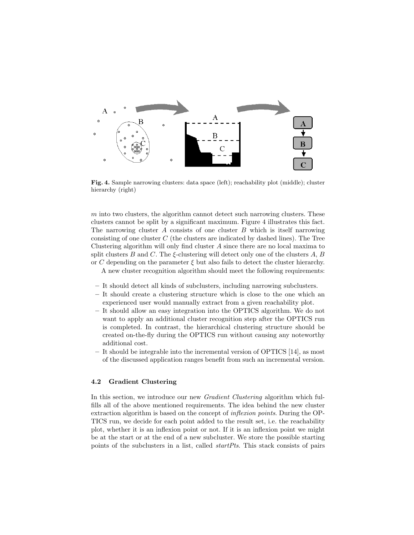

Fig. 4. Sample narrowing clusters: data space (left); reachability plot (middle); cluster hierarchy (right)

m into two clusters, the algorithm cannot detect such narrowing clusters. These clusters cannot be split by a significant maximum. Figure 4 illustrates this fact. The narrowing cluster  $A$  consists of one cluster  $B$  which is itself narrowing consisting of one cluster  $C$  (the clusters are indicated by dashed lines). The Tree Clustering algorithm will only find cluster A since there are no local maxima to split clusters B and C. The  $\xi$ -clustering will detect only one of the clusters A, B or C depending on the parameter  $\xi$  but also fails to detect the cluster hierarchy.

A new cluster recognition algorithm should meet the following requirements:

- It should detect all kinds of subclusters, including narrowing subclusters.
- It should create a clustering structure which is close to the one which an experienced user would manually extract from a given reachability plot.
- It should allow an easy integration into the OPTICS algorithm. We do not want to apply an additional cluster recognition step after the OPTICS run is completed. In contrast, the hierarchical clustering structure should be created on-the-fly during the OPTICS run without causing any noteworthy additional cost.
- It should be integrable into the incremental version of OPTICS [14], as most of the discussed application ranges benefit from such an incremental version.

#### 4.2 Gradient Clustering

In this section, we introduce our new *Gradient Clustering* algorithm which fulfills all of the above mentioned requirements. The idea behind the new cluster extraction algorithm is based on the concept of inflexion points. During the OP-TICS run, we decide for each point added to the result set, i.e. the reachability plot, whether it is an inflexion point or not. If it is an inflexion point we might be at the start or at the end of a new subcluster. We store the possible starting points of the subclusters in a list, called startPts. This stack consists of pairs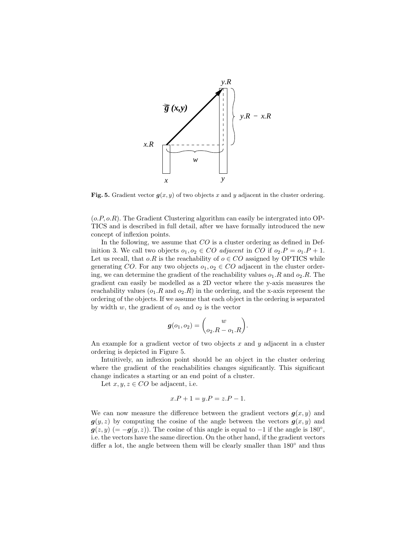

Fig. 5. Gradient vector  $g(x, y)$  of two objects x and y adjacent in the cluster ordering.

 $(o.P, o.R)$ . The Gradient Clustering algorithm can easily be intergrated into OP-TICS and is described in full detail, after we have formally introduced the new concept of inflexion points.

In the following, we assume that CO is a cluster ordering as defined in Definition 3. We call two objects  $o_1, o_2 \in CO$  adjacent in  $CO$  if  $o_2.P = o_1.P + 1$ . Let us recall, that  $o.R$  is the reachability of  $o \in CO$  assigned by OPTICS while generating CO. For any two objects  $o_1, o_2 \in CO$  adjacent in the cluster ordering, we can determine the gradient of the reachability values  $o_1.R$  and  $o_2.R$ . The gradient can easily be modelled as a 2D vector where the y-axis measures the reachability values  $(o_1.R \text{ and } o_2.R)$  in the ordering, and the x-axis represent the ordering of the objects. If we assume that each object in the ordering is separated by width w, the gradient of  $o_1$  and  $o_2$  is the vector

$$
\boldsymbol{g}(o_1, o_2) = \begin{pmatrix} w \\ o_2 \cdot R - o_1 \cdot R \end{pmatrix}.
$$

An example for a gradient vector of two objects x and y adjacent in a cluster ordering is depicted in Figure 5.

Intuitively, an inflexion point should be an object in the cluster ordering where the gradient of the reachabilities changes significantly. This significant change indicates a starting or an end point of a cluster.

Let  $x, y, z \in CO$  be adjacent, i.e.

$$
x.P + 1 = y.P = z.P - 1.
$$

We can now measure the difference between the gradient vectors  $q(x, y)$  and  $g(y, z)$  by computing the cosine of the angle between the vectors  $g(x, y)$  and  $g(z, y)$  (=  $-g(y, z)$ ). The cosine of this angle is equal to -1 if the angle is 180<sup>°</sup>, i.e. the vectors have the same direction. On the other hand, if the gradient vectors differ a lot, the angle between them will be clearly smaller than 180◦ and thus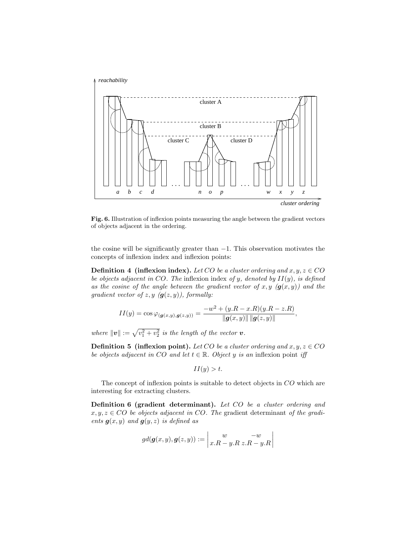

Fig. 6. Illustration of inflexion points measuring the angle between the gradient vectors of objects adjacent in the ordering.

the cosine will be significantly greater than −1. This observation motivates the concepts of inflexion index and inflexion points:

**Definition 4 (inflexion index).** Let CO be a cluster ordering and  $x, y, z \in CO$ be objects adjacent in CO. The inflexion index of y, denoted by  $II(y)$ , is defined as the cosine of the angle between the gradient vector of x, y  $(g(x, y))$  and the gradient vector of  $z, y \ (\mathbf{g}(z, y))$ , formally:

$$
II(y) = \cos \varphi_{(\mathbf{g}(x,y),\mathbf{g}(z,y))} = \frac{-w^2 + (y.R - x.R)(y.R - z.R)}{\|\mathbf{g}(x,y)\| \|\mathbf{g}(z,y)\|},
$$

where  $\|\boldsymbol{v}\| := \sqrt{v_1^2 + v_2^2}$  is the length of the vector  $\boldsymbol{v}$ .

**Definition 5 (inflexion point).** Let CO be a cluster ordering and  $x, y, z \in CO$ be objects adjacent in CO and let  $t \in \mathbb{R}$ . Object y is an inflexion point iff

$$
II(y) > t.
$$

The concept of inflexion points is suitable to detect objects in CO which are interesting for extracting clusters.

Definition 6 (gradient determinant). Let CO be a cluster ordering and  $x, y, z \in CO$  be objects adjacent in CO. The gradient determinant of the gradients  $g(x, y)$  and  $g(y, z)$  is defined as

$$
gd(\boldsymbol{g}(x,y),\boldsymbol{g}(z,y)) := \begin{vmatrix} w & -w \\ x.R - y.R \ z.R - y.R \end{vmatrix}
$$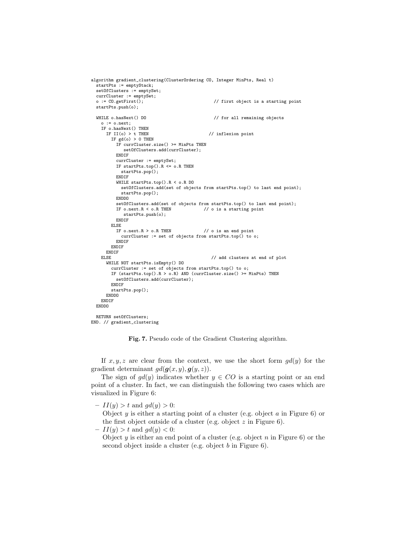```
algorithm gradient_clustering(ClusterOrdering CO, Integer MinPts, Real t)
 startPts := emptyStack;
  setOfClusters := emptySet;
 currCluster := emptySet;<br>o := CO.getFirst();
                                                   // first object is a starting point
 startPts.push(o);
 WHILE o.hasNext() DO \frac{1}{\sqrt{6}} // for all remaining objects
    o := o.next;
    IF o.\text{hasNext}() THEN<br>IF II(o) > t THEN
                                                 // inflexion point
        IF gd(o) > 0 THEN
          IF currCluster.size() >= MinPts THEN
             setOfClusters.add(currCluster);
          ENDIF
          currCluster := emptySet;
          IF startPts.top().R <= o.R THEN
            startPts.pop();
          ENDIF
          WHILE startPts.top().R < o.R DO
            setOfClusters.add(set of objects from startPts.top() to last end point);
            startPts.pop();
          ENDDO
          setOfClusters.add(set of objects from startPts.top() to last end point);<br>IF o.next.R < o.R THEN // o is a starting point
                                              // o is a starting pointstartPts.push(o);
          ENDIF
        ELSE
          IF o.next.R > o.R THEN \frac{1}{2} o is an end point
            currCluster := set of objects from startPts.top() to o;
          ENDIF
        ENDIF
      ENDIF
    ELSE \frac{1}{2} and clusters at end of plot
      WHILE NOT startPts.isEmpty() DO
        currCluster := set of objects from startPts.top() to o;
        IF (startPts.top().R > o.R) AND (currCluster.size() >= MinPts) THEN
          setOfClusters.add(currCluster);
        ENDIF
        startPts.pop();
      ENDDO
    ENDIF
 ENDDO
 RETURN setOfClusters;
```

```
END. // gradient_clustering
```
Fig. 7. Pseudo code of the Gradient Clustering algorithm.

If  $x, y, z$  are clear from the context, we use the short form  $gd(y)$  for the gradient determinant  $gd(g(x, y), g(y, z))$ .

The sign of  $gd(y)$  indicates whether  $y \in CO$  is a starting point or an end point of a cluster. In fact, we can distinguish the following two cases which are visualized in Figure 6:

 $-II(y) > t$  and  $gd(y) > 0$ :

Object y is either a starting point of a cluster (e.g. object a in Figure 6) or the first object outside of a cluster (e.g. object z in Figure 6).

 $-II(y) > t$  and  $gd(y) < 0$ :

Object  $y$  is either an end point of a cluster (e.g. object  $n$  in Figure 6) or the second object inside a cluster (e.g. object b in Figure 6).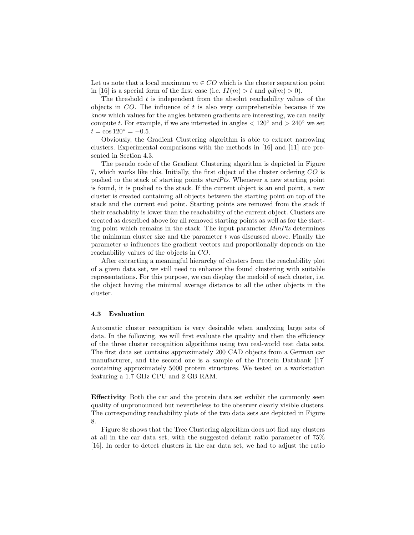Let us note that a local maximum  $m \in CO$  which is the cluster separation point in [16] is a special form of the first case (i.e.  $II(m) > t$  and  $gd(m) > 0$ ).

The threshold  $t$  is independent from the absolut reachability values of the objects in  $CO$ . The influence of t is also very comprehensible because if we know which values for the angles between gradients are interesting, we can easily compute t. For example, if we are interested in angles  $\langle 120^\circ \text{ and } 240^\circ \text{ we set} \rangle$  $t = \cos 120^\circ = -0.5.$ 

Obviously, the Gradient Clustering algorithm is able to extract narrowing clusters. Experimental comparisons with the methods in [16] and [11] are presented in Section 4.3.

The pseudo code of the Gradient Clustering algorithm is depicted in Figure 7, which works like this. Initially, the first object of the cluster ordering CO is pushed to the stack of starting points startPts. Whenever a new starting point is found, it is pushed to the stack. If the current object is an end point, a new cluster is created containing all objects between the starting point on top of the stack and the current end point. Starting points are removed from the stack if their reachablity is lower than the reachability of the current object. Clusters are created as described above for all removed starting points as well as for the starting point which remains in the stack. The input parameter MinPts determines the minimum cluster size and the parameter  $t$  was discussed above. Finally the parameter w influences the gradient vectors and proportionally depends on the reachability values of the objects in CO.

After extracting a meaningful hierarchy of clusters from the reachability plot of a given data set, we still need to enhance the found clustering with suitable representations. For this purpose, we can display the medoid of each cluster, i.e. the object having the minimal average distance to all the other objects in the cluster.

#### 4.3 Evaluation

Automatic cluster recognition is very desirable when analyzing large sets of data. In the following, we will first evaluate the quality and then the efficiency of the three cluster recognition algorithms using two real-world test data sets. The first data set contains approximately 200 CAD objects from a German car manufacturer, and the second one is a sample of the Protein Databank [17] containing approximately 5000 protein structures. We tested on a workstation featuring a 1.7 GHz CPU and 2 GB RAM.

Effectivity Both the car and the protein data set exhibit the commonly seen quality of unpronounced but nevertheless to the observer clearly visible clusters. The corresponding reachability plots of the two data sets are depicted in Figure 8.

Figure 8c shows that the Tree Clustering algorithm does not find any clusters at all in the car data set, with the suggested default ratio parameter of 75% [16]. In order to detect clusters in the car data set, we had to adjust the ratio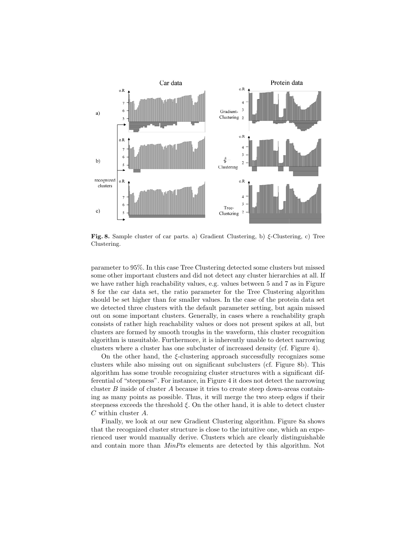

Fig. 8. Sample cluster of car parts. a) Gradient Clustering, b) ξ-Clustering, c) Tree Clustering.

parameter to 95%. In this case Tree Clustering detected some clusters but missed some other important clusters and did not detect any cluster hierarchies at all. If we have rather high reachability values, e.g. values between 5 and 7 as in Figure 8 for the car data set, the ratio parameter for the Tree Clustering algorithm should be set higher than for smaller values. In the case of the protein data set we detected three clusters with the default parameter setting, but again missed out on some important clusters. Generally, in cases where a reachability graph consists of rather high reachability values or does not present spikes at all, but clusters are formed by smooth troughs in the waveform, this cluster recognition algorithm is unsuitable. Furthermore, it is inherently unable to detect narrowing clusters where a cluster has one subcluster of increased density (cf. Figure 4).

On the other hand, the  $\xi$ -clustering approach successfully recognizes some clusters while also missing out on significant subclusters (cf. Figure 8b). This algorithm has some trouble recognizing cluster structures with a significant differential of "steepness". For instance, in Figure 4 it does not detect the narrowing cluster B inside of cluster A because it tries to create steep down-areas containing as many points as possible. Thus, it will merge the two steep edges if their steepness exceeds the threshold  $\xi$ . On the other hand, it is able to detect cluster C within cluster A.

Finally, we look at our new Gradient Clustering algorithm. Figure 8a shows that the recognized cluster structure is close to the intuitive one, which an experienced user would manually derive. Clusters which are clearly distinguishable and contain more than MinPts elements are detected by this algorithm. Not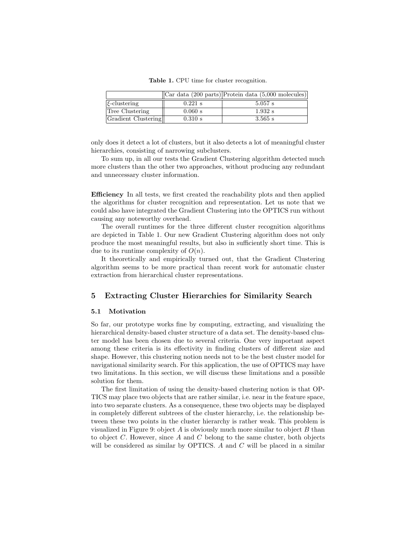Table 1. CPU time for cluster recognition.

|                           |           | $\vert$ Car data (200 parts) <sup> </sup> Protein data (5,000 molecules) <sup> </sup> |
|---------------------------|-----------|---------------------------------------------------------------------------------------|
| $\mathcal{E}$ -clustering | $0.221$ s | $5.057$ s                                                                             |
| Tree Clustering           | $0.060$ s | $1.932$ s                                                                             |
| Gradient Clustering       | $0.310$ s | $3.565$ s                                                                             |

only does it detect a lot of clusters, but it also detects a lot of meaningful cluster hierarchies, consisting of narrowing subclusters.

To sum up, in all our tests the Gradient Clustering algorithm detected much more clusters than the other two approaches, without producing any redundant and unnecessary cluster information.

Efficiency In all tests, we first created the reachability plots and then applied the algorithms for cluster recognition and representation. Let us note that we could also have integrated the Gradient Clustering into the OPTICS run without causing any noteworthy overhead.

The overall runtimes for the three different cluster recognition algorithms are depicted in Table 1. Our new Gradient Clustering algorithm does not only produce the most meaningful results, but also in sufficiently short time. This is due to its runtime complexity of  $O(n)$ .

It theoretically and empirically turned out, that the Gradient Clustering algorithm seems to be more practical than recent work for automatic cluster extraction from hierarchical cluster representations.

## 5 Extracting Cluster Hierarchies for Similarity Search

#### 5.1 Motivation

So far, our prototype works fine by computing, extracting, and visualizing the hierarchical density-based cluster structure of a data set. The density-based cluster model has been chosen due to several criteria. One very important aspect among these criteria is its effectivity in finding clusters of different size and shape. However, this clustering notion needs not to be the best cluster model for navigational similarity search. For this application, the use of OPTICS may have two limitations. In this section, we will discuss these limitations and a possible solution for them.

The first limitation of using the density-based clustering notion is that OP-TICS may place two objects that are rather similar, i.e. near in the feature space, into two separate clusters. As a consequence, these two objects may be displayed in completely different subtrees of the cluster hierarchy, i.e. the relationship between these two points in the cluster hierarchy is rather weak. This problem is visualized in Figure 9: object  $\vec{A}$  is obviously much more similar to object  $\vec{B}$  than to object  $C$ . However, since  $A$  and  $C$  belong to the same cluster, both objects will be considered as similar by OPTICS.  $A$  and  $C$  will be placed in a similar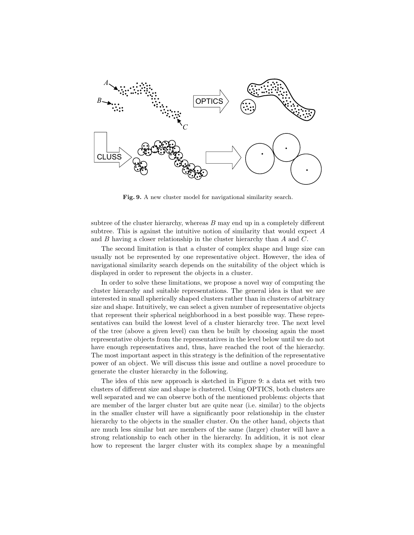

Fig. 9. A new cluster model for navigational similarity search.

subtree of the cluster hierarchy, whereas  $B$  may end up in a completely different subtree. This is against the intuitive notion of similarity that would expect A and B having a closer relationship in the cluster hierarchy than A and C.

The second limitation is that a cluster of complex shape and huge size can usually not be represented by one representative object. However, the idea of navigational similarity search depends on the suitability of the object which is displayed in order to represent the objects in a cluster.

In order to solve these limitations, we propose a novel way of computing the cluster hierarchy and suitable representations. The general idea is that we are interested in small spherically shaped clusters rather than in clusters of arbitrary size and shape. Intuitively, we can select a given number of representative objects that represent their spherical neighborhood in a best possible way. These representatives can build the lowest level of a cluster hierarchy tree. The next level of the tree (above a given level) can then be built by choosing again the most representative objects from the representatives in the level below until we do not have enough representatives and, thus, have reached the root of the hierarchy. The most important aspect in this strategy is the definition of the representative power of an object. We will discuss this issue and outline a novel procedure to generate the cluster hierarchy in the following.

The idea of this new approach is sketched in Figure 9: a data set with two clusters of different size and shape is clustered. Using OPTICS, both clusters are well separated and we can observe both of the mentioned problems: objects that are member of the larger cluster but are quite near (i.e. similar) to the objects in the smaller cluster will have a significantly poor relationship in the cluster hierarchy to the objects in the smaller cluster. On the other hand, objects that are much less similar but are members of the same (larger) cluster will have a strong relationship to each other in the hierarchy. In addition, it is not clear how to represent the larger cluster with its complex shape by a meaningful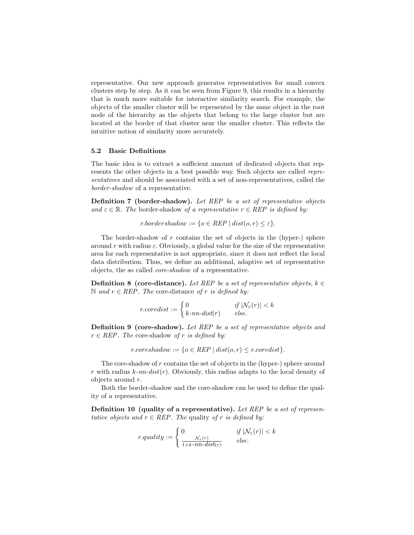representative. Our new approach generates representatives for small convex clusters step by step. As it can be seen from Figure 9, this results in a hierarchy that is much more suitable for interactive similarity search. For example, the objects of the smaller cluster will be represented by the same object in the root node of the hierarchy as the objects that belong to the large cluster but are located at the border of that cluster near the smaller cluster. This reflects the intuitive notion of similarity more accurately.

#### 5.2 Basic Definitions

The basic idea is to extract a sufficient amount of dedicated objects that represents the other objects in a best possible way. Such objects are called representatives and should be associated with a set of non-representatives, called the border-shadow of a representative.

Definition 7 (border-shadow). Let REP be a set of representative objects and  $\varepsilon \in \mathbb{R}$ . The border-shadow of a representative  $r \in REP$  is defined by:

 $r.bordershadow := \{o \in REP \mid dist(o, r) \leq \varepsilon\}.$ 

The border-shadow of  $r$  contains the set of objects in the (hyper-) sphere around r with radius  $\varepsilon$ . Obviously, a global value for the size of the representative area for each representative is not appropriate, since it does not reflect the local data distribution. Thus, we define an additional, adaptive set of representative objects, the so called core-shadow of a representative.

**Definition 8 (core-distance).** Let REP be a set of representative objects,  $k \in$  $\mathbb N$  and  $r \in REP$ . The core-distance of r is defined by:

$$
r.coredist := \begin{cases} 0 & \text{if } |\mathcal{N}_{\varepsilon}(r)| < k\\ k\text{-}nn\text{-}dist(r) & \text{else.} \end{cases}
$$

Definition 9 (core-shadow). Let REP be a set of representative objects and  $r \in REP$ . The core-shadow of r is defined by:

$$
r. core shadow := \{ o \in REP \mid dist(o, r) \leq r. core dist \}.
$$

The core-shadow of r contains the set of objects in the (hyper-) sphere around r with radius  $k$ -nn-dist(r). Obviously, this radius adapts to the local density of objects around r.

Both the border-shadow and the core-shadow can be used to define the quality of a representative.

Definition 10 (quality of a representative). Let REP be a set of representative objects and  $r \in REP$ . The quality of r is defined by:

$$
r\text{.quality} := \begin{cases} 0 & \text{if } |\mathcal{N}_{\varepsilon}(r)| < k\\ \frac{\mathcal{N}_{\varepsilon}(r)}{1 + k \cdot nn \cdot dist(r)} & \text{else.} \end{cases}
$$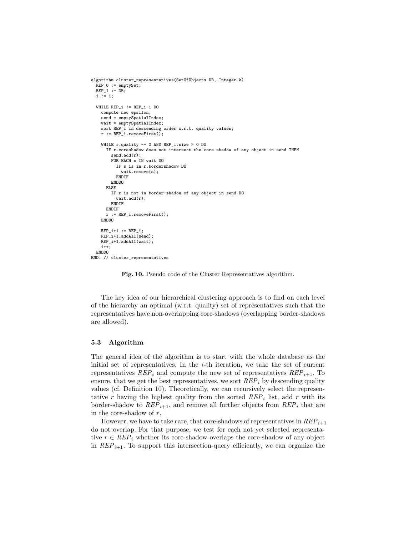```
algorithm cluster_representatives(SetOfObjects DB, Integer k)
 REP_0 := emptySet;
 REF_1 := DB;i := 1;WHILE REP_i != REP_i-1 DO
   compute new epsilon;
   send = emptySpatialIndex;
   wait = emptySpatialIndex;
   sort REP_i in descending order w.r.t. quality values;
   r := REP_i.removeFirst();
   WHILE r.quality == 0 AND REP_i.size > 0 DO
     IF r.coreshadow does not intersect the core shadow of any object in send THEN
        send.add(r);
       FOR EACH s IN wait DO
         IF s is in r.bordershadow DO
           wait.remove(s);
          ENDIF
       ENDDO
     ELSE
       IF r is not in border-shadow of any object in send DO
         wait.add(r);
       ENDIF
     ENDIF
     r := REP_i.removeFirst();
   ENDDO
   REP_i+1 := REP_i;REP_i+1.addAll(send);
   REP_i+1.addAll(wait);
   i++;
 ENDDO
END. // cluster_representatives
```
Fig. 10. Pseudo code of the Cluster Representatives algorithm.

The key idea of our hierarchical clustering approach is to find on each level of the hierarchy an optimal (w.r.t. quality) set of representatives such that the representatives have non-overlapping core-shadows (overlapping border-shadows are allowed).

## 5.3 Algorithm

The general idea of the algorithm is to start with the whole database as the initial set of representatives. In the  $i$ -th iteration, we take the set of current representatives  $REP_i$  and compute the new set of representatives  $REP_{i+1}$ . To ensure, that we get the best representatives, we sort  $REP_i$  by descending quality values (cf. Definition 10). Theoretically, we can recursively select the representative r having the highest quality from the sorted  $REP_i$  list, add r with its border-shadow to  $REP_{i+1}$ , and remove all further objects from  $REP_i$  that are in the core-shadow of r.

However, we have to take care, that core-shadows of representatives in  $REP_{i+1}$ do not overlap. For that purpose, we test for each not yet selected representative  $r \in REP_i$  whether its core-shadow overlaps the core-shadow of any object in  $REP_{i+1}$ . To support this intersection-query efficiently, we can organize the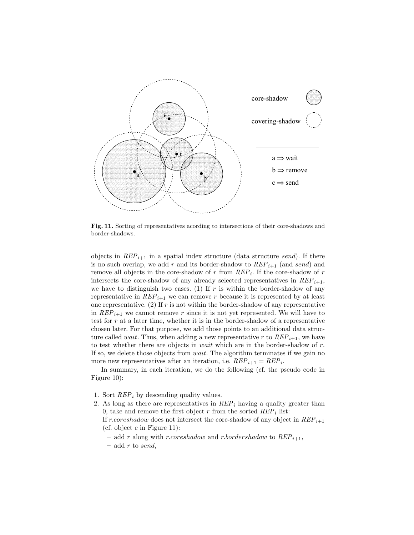

Fig. 11. Sorting of representatives acording to intersections of their core-shadows and border-shadows.

objects in  $REP_{i+1}$  in a spatial index structure (data structure send). If there is no such overlap, we add r and its border-shadow to  $REP_{i+1}$  (and send) and remove all objects in the core-shadow of  $r$  from  $REP_i$ . If the core-shadow of  $r$ intersects the core-shadow of any already selected representatives in  $REP_{i+1}$ , we have to distinguish two cases. (1) If  $r$  is within the border-shadow of any representative in  $REP_{i+1}$  we can remove r because it is represented by at least one representative. (2) If  $r$  is not within the border-shadow of any representative in  $REP_{i+1}$  we cannot remove r since it is not yet represented. We will have to test for  $r$  at a later time, whether it is in the border-shadow of a representative chosen later. For that purpose, we add those points to an additional data structure called *wait*. Thus, when adding a new representative r to  $REP_{i+1}$ , we have to test whether there are objects in wait which are in the border-shadow of r. If so, we delete those objects from wait. The algorithm terminates if we gain no more new representatives after an iteration, i.e.  $REP_{i+1} = REP_i$ .

In summary, in each iteration, we do the following (cf. the pseudo code in Figure 10):

- 1. Sort  $REP_i$  by descending quality values.
- 2. As long as there are representatives in  $REP_i$  having a quality greater than 0, take and remove the first object  $r$  from the sorted  $REP_i$  list:
	- If r.coreshadow does not intersect the core-shadow of any object in  $REP_{i+1}$ (cf. object  $c$  in Figure 11):
		- add r along with r.coreshadow and r.bordershadow to  $REP_{i+1}$ ,
		- $-$  add r to send,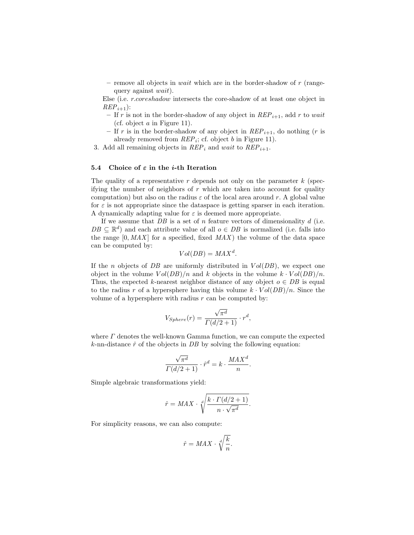– remove all objects in *wait* which are in the border-shadow of  $r$  (rangequery against wait).

Else (i.e. r.coreshadow intersects the core-shadow of at least one object in  $REP_{i+1}$ :

- If r is not in the border-shadow of any object in  $\text{REP}_{i+1}$ , add r to wait (cf. object a in Figure 11).
- If r is in the border-shadow of any object in  $REP_{i+1}$ , do nothing (r is already removed from  $REP_i$ ; cf. object b in Figure 11).
- 3. Add all remaining objects in  $REP_i$  and wait to  $REP_{i+1}$ .

#### 5.4 Choice of  $\varepsilon$  in the *i*-th Iteration

The quality of a representative  $r$  depends not only on the parameter  $k$  (specifying the number of neighbors of  $r$  which are taken into account for quality computation) but also on the radius  $\varepsilon$  of the local area around r. A global value for  $\varepsilon$  is not appropriate since the dataspace is getting sparser in each iteration. A dynamically adapting value for  $\varepsilon$  is deemed more appropriate.

If we assume that  $DB$  is a set of n feature vectors of dimensionality d (i.e.  $DB \subseteq \mathbb{R}^d$ ) and each attribute value of all  $o \in DB$  is normalized (i.e. falls into the range  $[0, MAX]$  for a specified, fixed  $MAX$ ) the volume of the data space can be computed by:

$$
Vol(DB) = MAX^d.
$$

If the n objects of DB are uniformly distributed in  $Vol(DB)$ , we expect one object in the volume  $Vol(DB)/n$  and k objects in the volume  $k \cdot Vol(DB)/n$ . Thus, the expected k-nearest neighbor distance of any object  $o \in DB$  is equal to the radius r of a hypersphere having this volume  $k \cdot Vol(DB)/n$ . Since the volume of a hypersphere with radius  $r$  can be computed by:

$$
V_{Sphere}(r) = \frac{\sqrt{\pi^d}}{\Gamma(d/2+1)} \cdot r^d,
$$

where  $\Gamma$  denotes the well-known Gamma function, we can compute the expected  $k$ -nn-distance  $\hat{r}$  of the objects in DB by solving the following equation:

$$
\frac{\sqrt{\pi^d}}{\Gamma(d/2+1)} \cdot \hat{r}^d = k \cdot \frac{MAX^d}{n}.
$$

Simple algebraic transformations yield:

$$
\hat{r} = MAX \cdot \sqrt[d]{\frac{k \cdot \Gamma(d/2 + 1)}{n \cdot \sqrt{\pi^d}}}.
$$

For simplicity reasons, we can also compute:

$$
\hat{r} = MAX \cdot \sqrt[d]{\frac{k}{n}}.
$$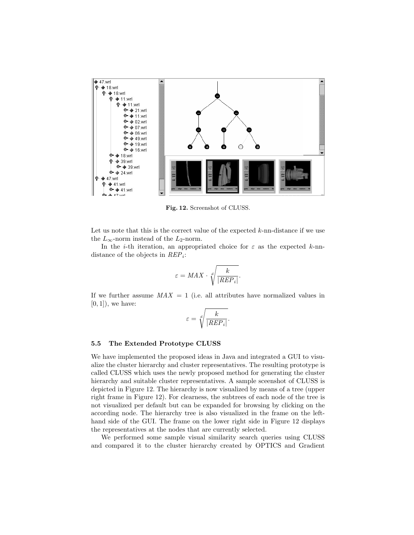

Fig. 12. Screenshot of CLUSS.

Let us note that this is the correct value of the expected  $k$ -nn-distance if we use the  $L_{\infty}$ -norm instead of the  $L_2$ -norm.

In the *i*-th iteration, an appropriated choice for  $\varepsilon$  as the expected k-nndistance of the objects in  $REP_i$ :

$$
\varepsilon = MAX \cdot \sqrt[d]{\frac{k}{|REP_i|}}.
$$

If we further assume  $MAX = 1$  (i.e. all attributes have normalized values in  $[0, 1]$ , we have:

$$
\varepsilon = \sqrt[d]{\frac{k}{|REP_i|}}.
$$

#### 5.5 The Extended Prototype CLUSS

We have implemented the proposed ideas in Java and integrated a GUI to visualize the cluster hierarchy and cluster representatives. The resulting prototype is called CLUSS which uses the newly proposed method for generating the cluster hierarchy and suitable cluster representatives. A sample sceenshot of CLUSS is depicted in Figure 12. The hierarchy is now visualized by means of a tree (upper right frame in Figure 12). For clearness, the subtrees of each node of the tree is not visualized per default but can be expanded for browsing by clicking on the according node. The hierarchy tree is also visualized in the frame on the lefthand side of the GUI. The frame on the lower right side in Figure 12 displays the representatives at the nodes that are currently selected.

We performed some sample visual similarity search queries using CLUSS and compared it to the cluster hierarchy created by OPTICS and Gradient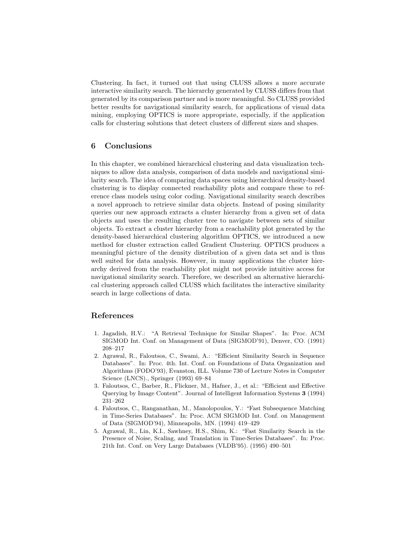Clustering. In fact, it turned out that using CLUSS allows a more accurate interactive similarity search. The hierarchy generated by CLUSS differs from that generated by its comparison partner and is more meaningful. So CLUSS provided better results for navigational similarity search, for applications of visual data mining, employing OPTICS is more appropriate, especially, if the application calls for clustering solutions that detect clusters of different sizes and shapes.

## 6 Conclusions

In this chapter, we combined hierarchical clustering and data visualization techniques to allow data analysis, comparison of data models and navigational similarity search. The idea of comparing data spaces using hierarchical density-based clustering is to display connected reachability plots and compare these to reference class models using color coding. Navigational similarity search describes a novel approach to retrieve similar data objects. Instead of posing similarity queries our new approach extracts a cluster hierarchy from a given set of data objects and uses the resulting cluster tree to navigate between sets of similar objects. To extract a cluster hierarchy from a reachability plot generated by the density-based hierarchical clustering algorithm OPTICS, we introduced a new method for cluster extraction called Gradient Clustering. OPTICS produces a meaningful picture of the density distribution of a given data set and is thus well suited for data analysis. However, in many applications the cluster hierarchy derived from the reachability plot might not provide intuitive access for navigational similarity search. Therefore, we described an alternative hierarchical clustering approach called CLUSS which facilitates the interactive similarity search in large collections of data.

## References

- 1. Jagadish, H.V.: "A Retrieval Technique for Similar Shapes". In: Proc. ACM SIGMOD Int. Conf. on Management of Data (SIGMOD'91), Denver, CO. (1991) 208–217
- 2. Agrawal, R., Faloutsos, C., Swami, A.: "Efficient Similarity Search in Sequence Databases". In: Proc. 4th. Int. Conf. on Foundations of Data Organization and Algorithms (FODO'93), Evanston, ILL. Volume 730 of Lecture Notes in Computer Science (LNCS)., Springer (1993) 69–84
- 3. Faloutsos, C., Barber, R., Flickner, M., Hafner, J., et al.: "Efficient and Effective Querying by Image Content". Journal of Intelligent Information Systems 3 (1994) 231–262
- 4. Faloutsos, C., Ranganathan, M., Manolopoulos, Y.: "Fast Subsequence Matching in Time-Series Databases". In: Proc. ACM SIGMOD Int. Conf. on Management of Data (SIGMOD'94), Minneapolis, MN. (1994) 419–429
- 5. Agrawal, R., Lin, K.I., Sawhney, H.S., Shim, K.: "Fast Similarity Search in the Presence of Noise, Scaling, and Translation in Time-Series Databases". In: Proc. 21th Int. Conf. on Very Large Databases (VLDB'95). (1995) 490–501